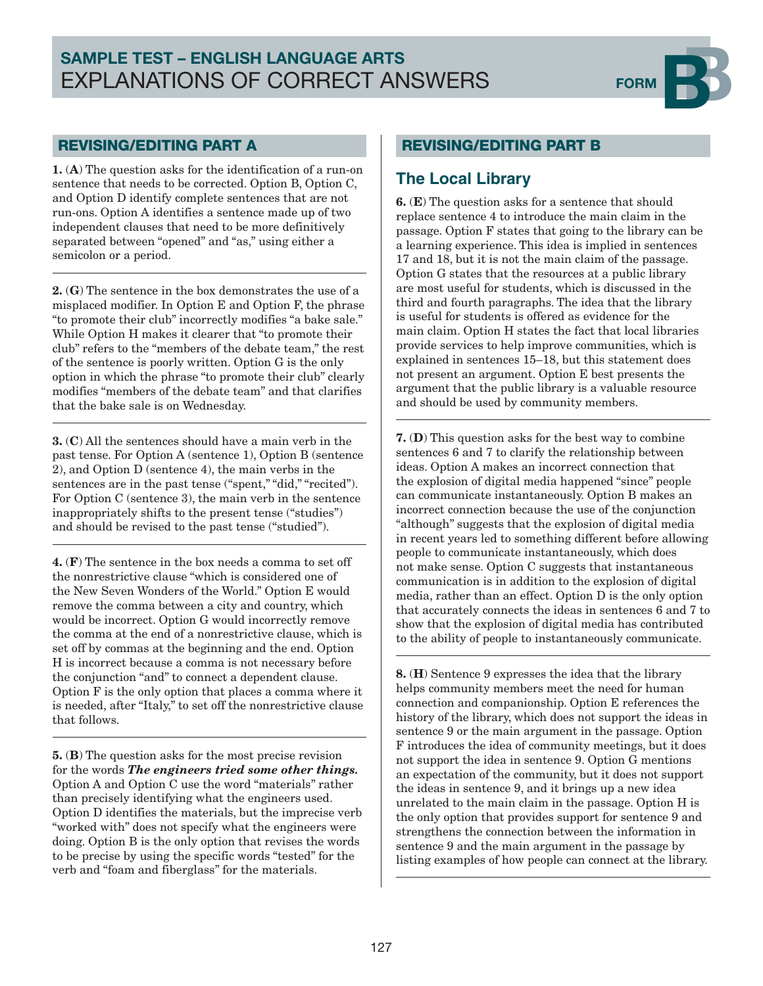# SAMPLE TEST – ENGLISH LANGUAGE ARTS EXPLANATIONS OF CORRECT ANSWERS FORM



#### REVISING/EDITING PART A

1. (A) The question asks for the identification of a run-on sentence that needs to be corrected. Option B, Option C, and Option D identify complete sentences that are not run-ons. Option A identifies a sentence made up of two independent clauses that need to be more definitively separated between "opened" and "as," using either a semicolon or a period.

2. (G) The sentence in the box demonstrates the use of a misplaced modifier. In Option E and Option F, the phrase "to promote their club" incorrectly modifies "a bake sale." While Option H makes it clearer that "to promote their club" refers to the "members of the debate team," the rest of the sentence is poorly written. Option G is the only option in which the phrase "to promote their club" clearly modifies "members of the debate team" and that clarifies that the bake sale is on Wednesday.

3. (C) All the sentences should have a main verb in the past tense. For Option A (sentence 1), Option B (sentence 2), and Option D (sentence 4), the main verbs in the sentences are in the past tense ("spent," "did," "recited"). For Option C (sentence 3), the main verb in the sentence inappropriately shifts to the present tense ("studies") and should be revised to the past tense ("studied").

4. (F) The sentence in the box needs a comma to set off the nonrestrictive clause "which is considered one of the New Seven Wonders of the World." Option E would remove the comma between a city and country, which would be incorrect. Option G would incorrectly remove the comma at the end of a nonrestrictive clause, which is set off by commas at the beginning and the end. Option H is incorrect because a comma is not necessary before the conjunction "and" to connect a dependent clause. Option F is the only option that places a comma where it is needed, after "Italy," to set off the nonrestrictive clause that follows.

5. (B) The question asks for the most precise revision for the words *The engineers tried some other things.* Option A and Option C use the word "materials" rather than precisely identifying what the engineers used. Option D identifies the materials, but the imprecise verb "worked with" does not specify what the engineers were doing. Option B is the only option that revises the words to be precise by using the specific words "tested" for the verb and "foam and fiberglass" for the materials.

#### REVISING/EDITING PART B

#### **The Local Library**

6. (E) The question asks for a sentence that should replace sentence 4 to introduce the main claim in the passage. Option F states that going to the library can be a learning experience. This idea is implied in sentences 17 and 18, but it is not the main claim of the passage. Option G states that the resources at a public library are most useful for students, which is discussed in the third and fourth paragraphs. The idea that the library is useful for students is offered as evidence for the main claim. Option H states the fact that local libraries provide services to help improve communities, which is explained in sentences 15–18, but this statement does not present an argument. Option E best presents the argument that the public library is a valuable resource and should be used by community members.

7. (D) This question asks for the best way to combine sentences 6 and 7 to clarify the relationship between ideas. Option A makes an incorrect connection that the explosion of digital media happened "since" people can communicate instantaneously. Option B makes an incorrect connection because the use of the conjunction "although" suggests that the explosion of digital media in recent years led to something different before allowing people to communicate instantaneously, which does not make sense. Option C suggests that instantaneous communication is in addition to the explosion of digital media, rather than an effect. Option D is the only option that accurately connects the ideas in sentences 6 and 7 to show that the explosion of digital media has contributed to the ability of people to instantaneously communicate.

8. (H) Sentence 9 expresses the idea that the library helps community members meet the need for human connection and companionship. Option E references the history of the library, which does not support the ideas in sentence 9 or the main argument in the passage. Option F introduces the idea of community meetings, but it does not support the idea in sentence 9. Option G mentions an expectation of the community, but it does not support the ideas in sentence 9, and it brings up a new idea unrelated to the main claim in the passage. Option H is the only option that provides support for sentence 9 and strengthens the connection between the information in sentence 9 and the main argument in the passage by listing examples of how people can connect at the library.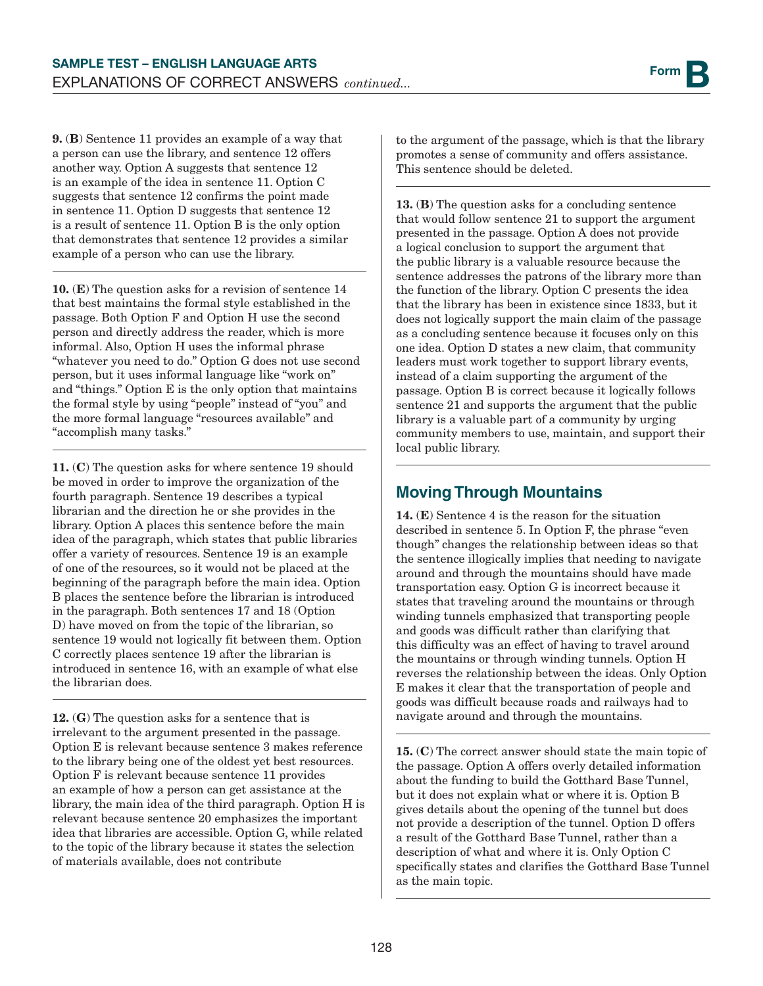9. (B) Sentence 11 provides an example of a way that a person can use the library, and sentence 12 offers another way. Option A suggests that sentence 12 is an example of the idea in sentence 11. Option C suggests that sentence 12 confirms the point made in sentence 11. Option D suggests that sentence 12 is a result of sentence 11. Option B is the only option that demonstrates that sentence 12 provides a similar example of a person who can use the library.

10. (E) The question asks for a revision of sentence 14 that best maintains the formal style established in the passage. Both Option F and Option H use the second person and directly address the reader, which is more informal. Also, Option H uses the informal phrase "whatever you need to do." Option G does not use second person, but it uses informal language like "work on" and "things." Option E is the only option that maintains the formal style by using "people" instead of "you" and the more formal language "resources available" and "accomplish many tasks."

11. (C) The question asks for where sentence 19 should be moved in order to improve the organization of the fourth paragraph. Sentence 19 describes a typical librarian and the direction he or she provides in the library. Option A places this sentence before the main idea of the paragraph, which states that public libraries offer a variety of resources. Sentence 19 is an example of one of the resources, so it would not be placed at the beginning of the paragraph before the main idea. Option B places the sentence before the librarian is introduced in the paragraph. Both sentences 17 and 18 (Option D) have moved on from the topic of the librarian, so sentence 19 would not logically fit between them. Option C correctly places sentence 19 after the librarian is introduced in sentence 16, with an example of what else the librarian does.

12. (G) The question asks for a sentence that is irrelevant to the argument presented in the passage. Option E is relevant because sentence 3 makes reference to the library being one of the oldest yet best resources. Option F is relevant because sentence 11 provides an example of how a person can get assistance at the library, the main idea of the third paragraph. Option H is relevant because sentence 20 emphasizes the important idea that libraries are accessible. Option G, while related to the topic of the library because it states the selection of materials available, does not contribute

to the argument of the passage, which is that the library promotes a sense of community and offers assistance. This sentence should be deleted.

13. (B) The question asks for a concluding sentence that would follow sentence 21 to support the argument presented in the passage. Option A does not provide a logical conclusion to support the argument that the public library is a valuable resource because the sentence addresses the patrons of the library more than the function of the library. Option C presents the idea that the library has been in existence since 1833, but it does not logically support the main claim of the passage as a concluding sentence because it focuses only on this one idea. Option D states a new claim, that community leaders must work together to support library events, instead of a claim supporting the argument of the passage. Option B is correct because it logically follows sentence 21 and supports the argument that the public library is a valuable part of a community by urging community members to use, maintain, and support their local public library.

## **Moving Through Mountains**

14. (E) Sentence 4 is the reason for the situation described in sentence 5. In Option F, the phrase "even though" changes the relationship between ideas so that the sentence illogically implies that needing to navigate around and through the mountains should have made transportation easy. Option G is incorrect because it states that traveling around the mountains or through winding tunnels emphasized that transporting people and goods was difficult rather than clarifying that this difficulty was an effect of having to travel around the mountains or through winding tunnels. Option H reverses the relationship between the ideas. Only Option E makes it clear that the transportation of people and goods was difficult because roads and railways had to navigate around and through the mountains.

15. (C) The correct answer should state the main topic of the passage. Option A offers overly detailed information about the funding to build the Gotthard Base Tunnel, but it does not explain what or where it is. Option B gives details about the opening of the tunnel but does not provide a description of the tunnel. Option D offers a result of the Gotthard Base Tunnel, rather than a description of what and where it is. Only Option C specifically states and clarifies the Gotthard Base Tunnel as the main topic.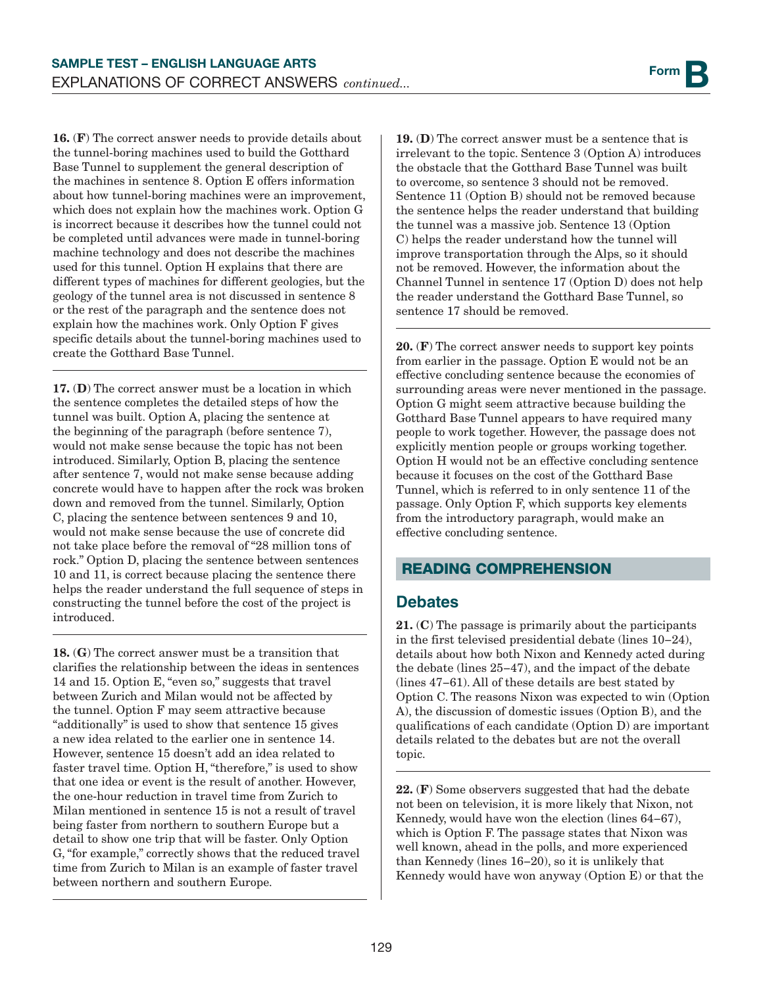16. (F) The correct answer needs to provide details about the tunnel-boring machines used to build the Gotthard Base Tunnel to supplement the general description of the machines in sentence 8. Option E offers information about how tunnel-boring machines were an improvement, which does not explain how the machines work. Option G is incorrect because it describes how the tunnel could not be completed until advances were made in tunnel-boring machine technology and does not describe the machines used for this tunnel. Option H explains that there are different types of machines for different geologies, but the geology of the tunnel area is not discussed in sentence 8 or the rest of the paragraph and the sentence does not explain how the machines work. Only Option F gives specific details about the tunnel-boring machines used to create the Gotthard Base Tunnel.

17. (D) The correct answer must be a location in which the sentence completes the detailed steps of how the tunnel was built. Option A, placing the sentence at the beginning of the paragraph (before sentence 7), would not make sense because the topic has not been introduced. Similarly, Option B, placing the sentence after sentence 7, would not make sense because adding concrete would have to happen after the rock was broken down and removed from the tunnel. Similarly, Option C, placing the sentence between sentences 9 and 10, would not make sense because the use of concrete did not take place before the removal of "28 million tons of rock." Option D, placing the sentence between sentences 10 and 11, is correct because placing the sentence there helps the reader understand the full sequence of steps in constructing the tunnel before the cost of the project is introduced.

18. (G) The correct answer must be a transition that clarifies the relationship between the ideas in sentences 14 and 15. Option E, "even so," suggests that travel between Zurich and Milan would not be affected by the tunnel. Option F may seem attractive because "additionally" is used to show that sentence 15 gives a new idea related to the earlier one in sentence 14. However, sentence 15 doesn't add an idea related to faster travel time. Option H, "therefore," is used to show that one idea or event is the result of another. However, the one-hour reduction in travel time from Zurich to Milan mentioned in sentence 15 is not a result of travel being faster from northern to southern Europe but a detail to show one trip that will be faster. Only Option G, "for example," correctly shows that the reduced travel time from Zurich to Milan is an example of faster travel between northern and southern Europe.

19. (D) The correct answer must be a sentence that is irrelevant to the topic. Sentence 3 (Option A) introduces the obstacle that the Gotthard Base Tunnel was built to overcome, so sentence 3 should not be removed. Sentence 11 (Option B) should not be removed because the sentence helps the reader understand that building the tunnel was a massive job. Sentence 13 (Option C) helps the reader understand how the tunnel will improve transportation through the Alps, so it should not be removed. However, the information about the Channel Tunnel in sentence 17 (Option D) does not help the reader understand the Gotthard Base Tunnel, so sentence 17 should be removed.

20. (F) The correct answer needs to support key points from earlier in the passage. Option E would not be an effective concluding sentence because the economies of surrounding areas were never mentioned in the passage. Option G might seem attractive because building the Gotthard Base Tunnel appears to have required many people to work together. However, the passage does not explicitly mention people or groups working together. Option H would not be an effective concluding sentence because it focuses on the cost of the Gotthard Base Tunnel, which is referred to in only sentence 11 of the passage. Only Option F, which supports key elements from the introductory paragraph, would make an effective concluding sentence.

#### READING COMPREHENSION

#### **Debates**

21. (C) The passage is primarily about the participants in the first televised presidential debate (lines 10−24), details about how both Nixon and Kennedy acted during the debate (lines 25−47), and the impact of the debate (lines 47−61). All of these details are best stated by Option C. The reasons Nixon was expected to win (Option A), the discussion of domestic issues (Option B), and the qualifications of each candidate (Option D) are important details related to the debates but are not the overall topic.

22. (F) Some observers suggested that had the debate not been on television, it is more likely that Nixon, not Kennedy, would have won the election (lines 64−67), which is Option F. The passage states that Nixon was well known, ahead in the polls, and more experienced than Kennedy (lines 16−20), so it is unlikely that Kennedy would have won anyway (Option E) or that the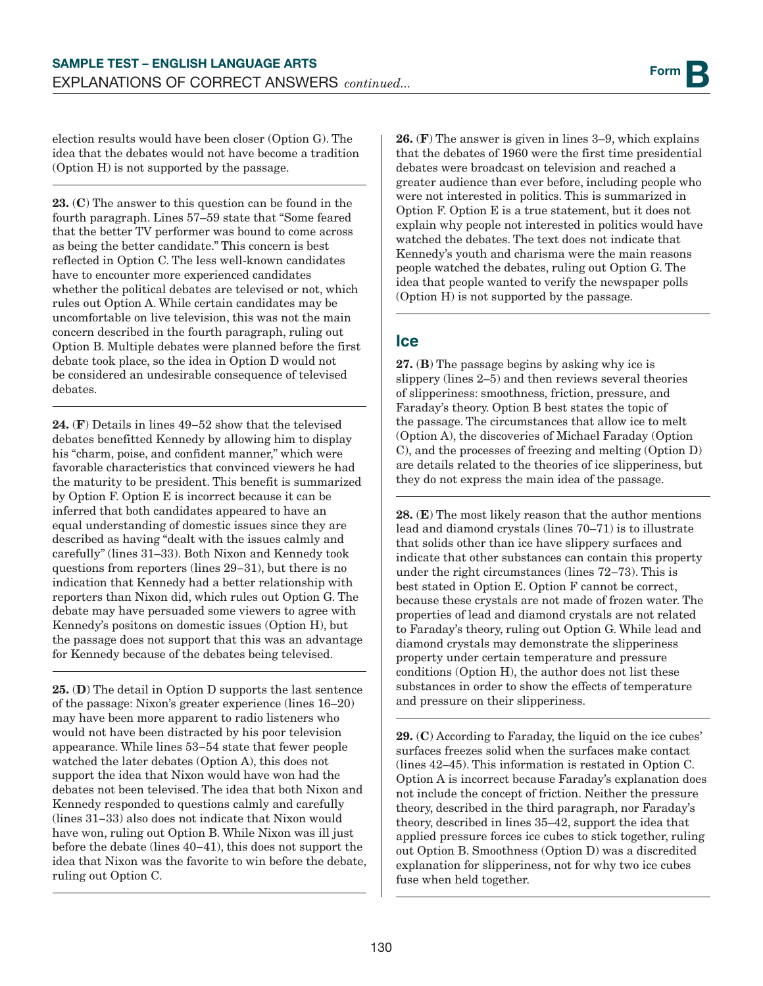election results would have been closer (Option G). The idea that the debates would not have become a tradition (Option H) is not supported by the passage.

23. (C) The answer to this question can be found in the fourth paragraph. Lines 57–59 state that "Some feared that the better TV performer was bound to come across as being the better candidate." This concern is best reflected in Option C. The less well-known candidates have to encounter more experienced candidates whether the political debates are televised or not, which rules out Option A. While certain candidates may be uncomfortable on live television, this was not the main concern described in the fourth paragraph, ruling out Option B. Multiple debates were planned before the first debate took place, so the idea in Option D would not be considered an undesirable consequence of televised debates.

24. (F) Details in lines 49–52 show that the televised debates benefitted Kennedy by allowing him to display his "charm, poise, and confident manner," which were favorable characteristics that convinced viewers he had the maturity to be president. This benefit is summarized by Option F. Option E is incorrect because it can be inferred that both candidates appeared to have an equal understanding of domestic issues since they are described as having "dealt with the issues calmly and carefully" (lines 31–33). Both Nixon and Kennedy took questions from reporters (lines 29−31), but there is no indication that Kennedy had a better relationship with reporters than Nixon did, which rules out Option G. The debate may have persuaded some viewers to agree with Kennedy's positons on domestic issues (Option H), but the passage does not support that this was an advantage for Kennedy because of the debates being televised.

25. (D) The detail in Option D supports the last sentence of the passage: Nixon's greater experience (lines 16–20) may have been more apparent to radio listeners who would not have been distracted by his poor television appearance. While lines 53−54 state that fewer people watched the later debates (Option A), this does not support the idea that Nixon would have won had the debates not been televised. The idea that both Nixon and Kennedy responded to questions calmly and carefully (lines 31−33) also does not indicate that Nixon would have won, ruling out Option B. While Nixon was ill just before the debate (lines 40−41), this does not support the idea that Nixon was the favorite to win before the debate, ruling out Option C.

26. (F) The answer is given in lines 3–9, which explains that the debates of 1960 were the first time presidential debates were broadcast on television and reached a greater audience than ever before, including people who were not interested in politics. This is summarized in Option F. Option E is a true statement, but it does not explain why people not interested in politics would have watched the debates. The text does not indicate that Kennedy's youth and charisma were the main reasons people watched the debates, ruling out Option G. The idea that people wanted to verify the newspaper polls (Option H) is not supported by the passage.

#### **Ice**

27. (B) The passage begins by asking why ice is slippery (lines 2–5) and then reviews several theories of slipperiness: smoothness, friction, pressure, and Faraday's theory. Option B best states the topic of the passage. The circumstances that allow ice to melt (Option A), the discoveries of Michael Faraday (Option C), and the processes of freezing and melting (Option D) are details related to the theories of ice slipperiness, but they do not express the main idea of the passage.

28. (E) The most likely reason that the author mentions lead and diamond crystals (lines 70–71) is to illustrate that solids other than ice have slippery surfaces and indicate that other substances can contain this property under the right circumstances (lines 72−73). This is best stated in Option E. Option F cannot be correct, because these crystals are not made of frozen water. The properties of lead and diamond crystals are not related to Faraday's theory, ruling out Option G. While lead and diamond crystals may demonstrate the slipperiness property under certain temperature and pressure conditions (Option H), the author does not list these substances in order to show the effects of temperature and pressure on their slipperiness.

29. (C) According to Faraday, the liquid on the ice cubes' surfaces freezes solid when the surfaces make contact (lines 42–45). This information is restated in Option C. Option A is incorrect because Faraday's explanation does not include the concept of friction. Neither the pressure theory, described in the third paragraph, nor Faraday's theory, described in lines 35–42, support the idea that applied pressure forces ice cubes to stick together, ruling out Option B. Smoothness (Option D) was a discredited explanation for slipperiness, not for why two ice cubes fuse when held together.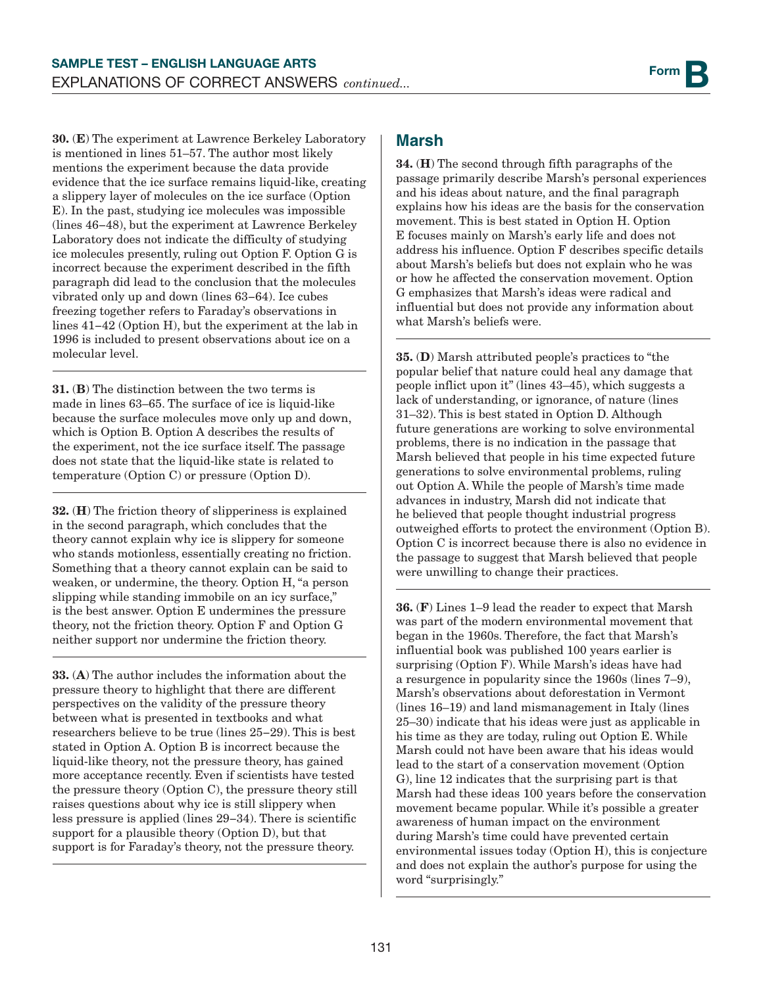30. (E) The experiment at Lawrence Berkeley Laboratory is mentioned in lines 51–57. The author most likely mentions the experiment because the data provide evidence that the ice surface remains liquid-like, creating a slippery layer of molecules on the ice surface (Option E). In the past, studying ice molecules was impossible (lines 46−48), but the experiment at Lawrence Berkeley Laboratory does not indicate the difficulty of studying ice molecules presently, ruling out Option F. Option G is incorrect because the experiment described in the fifth paragraph did lead to the conclusion that the molecules vibrated only up and down (lines 63−64). Ice cubes freezing together refers to Faraday's observations in lines 41−42 (Option H), but the experiment at the lab in 1996 is included to present observations about ice on a molecular level.

31. (B) The distinction between the two terms is made in lines 63–65. The surface of ice is liquid-like because the surface molecules move only up and down, which is Option B. Option A describes the results of the experiment, not the ice surface itself. The passage does not state that the liquid-like state is related to temperature (Option C) or pressure (Option D).

32. (H) The friction theory of slipperiness is explained in the second paragraph, which concludes that the theory cannot explain why ice is slippery for someone who stands motionless, essentially creating no friction. Something that a theory cannot explain can be said to weaken, or undermine, the theory. Option H, "a person slipping while standing immobile on an icy surface," is the best answer. Option E undermines the pressure theory, not the friction theory. Option F and Option G neither support nor undermine the friction theory.

33. (A) The author includes the information about the pressure theory to highlight that there are different perspectives on the validity of the pressure theory between what is presented in textbooks and what researchers believe to be true (lines 25−29). This is best stated in Option A. Option B is incorrect because the liquid-like theory, not the pressure theory, has gained more acceptance recently. Even if scientists have tested the pressure theory (Option C), the pressure theory still raises questions about why ice is still slippery when less pressure is applied (lines 29−34). There is scientific support for a plausible theory (Option D), but that support is for Faraday's theory, not the pressure theory.

#### **Marsh**

34. (H) The second through fifth paragraphs of the passage primarily describe Marsh's personal experiences and his ideas about nature, and the final paragraph explains how his ideas are the basis for the conservation movement. This is best stated in Option H. Option E focuses mainly on Marsh's early life and does not address his influence. Option F describes specific details about Marsh's beliefs but does not explain who he was or how he affected the conservation movement. Option G emphasizes that Marsh's ideas were radical and influential but does not provide any information about what Marsh's beliefs were.

35. (D) Marsh attributed people's practices to "the popular belief that nature could heal any damage that people inflict upon it" (lines 43–45), which suggests a lack of understanding, or ignorance, of nature (lines 31–32). This is best stated in Option D. Although future generations are working to solve environmental problems, there is no indication in the passage that Marsh believed that people in his time expected future generations to solve environmental problems, ruling out Option A. While the people of Marsh's time made advances in industry, Marsh did not indicate that he believed that people thought industrial progress outweighed efforts to protect the environment (Option B). Option C is incorrect because there is also no evidence in the passage to suggest that Marsh believed that people were unwilling to change their practices.

36. (F) Lines 1–9 lead the reader to expect that Marsh was part of the modern environmental movement that began in the 1960s. Therefore, the fact that Marsh's influential book was published 100 years earlier is surprising (Option F). While Marsh's ideas have had a resurgence in popularity since the 1960s (lines 7–9), Marsh's observations about deforestation in Vermont (lines 16–19) and land mismanagement in Italy (lines 25–30) indicate that his ideas were just as applicable in his time as they are today, ruling out Option E. While Marsh could not have been aware that his ideas would lead to the start of a conservation movement (Option G), line 12 indicates that the surprising part is that Marsh had these ideas 100 years before the conservation movement became popular. While it's possible a greater awareness of human impact on the environment during Marsh's time could have prevented certain environmental issues today (Option H), this is conjecture and does not explain the author's purpose for using the word "surprisingly."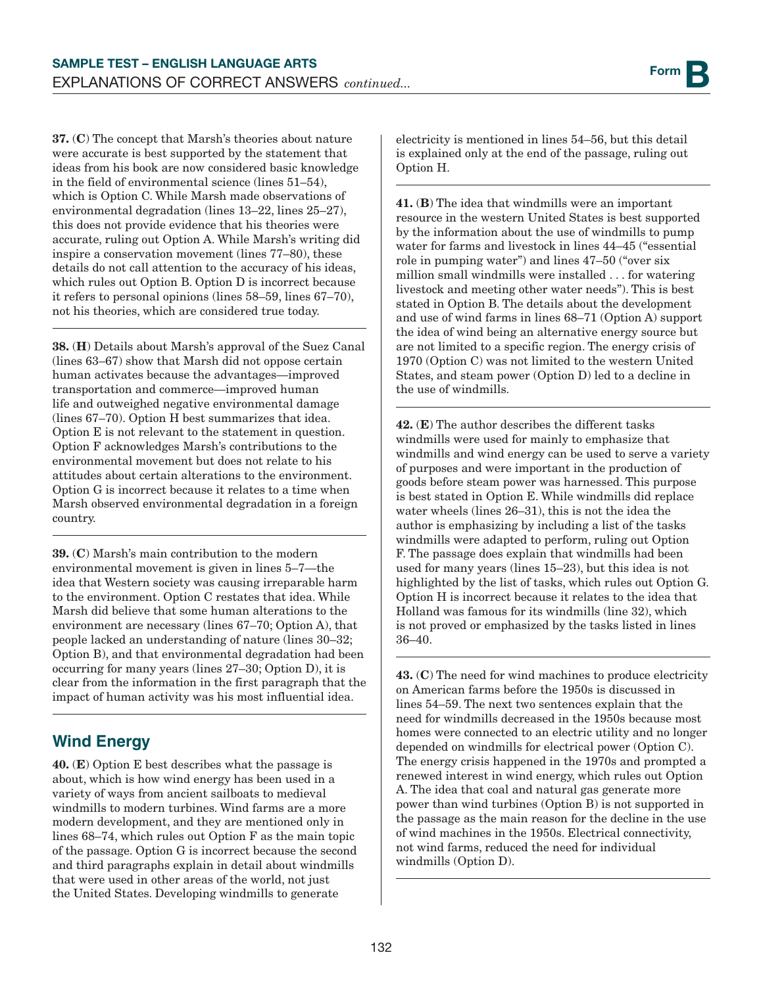37. (C) The concept that Marsh's theories about nature were accurate is best supported by the statement that ideas from his book are now considered basic knowledge in the field of environmental science (lines 51–54), which is Option C. While Marsh made observations of environmental degradation (lines 13–22, lines 25–27), this does not provide evidence that his theories were accurate, ruling out Option A. While Marsh's writing did inspire a conservation movement (lines 77–80), these details do not call attention to the accuracy of his ideas, which rules out Option B. Option D is incorrect because it refers to personal opinions (lines 58–59, lines 67–70), not his theories, which are considered true today.

38. (H) Details about Marsh's approval of the Suez Canal (lines 63–67) show that Marsh did not oppose certain human activates because the advantages—improved transportation and commerce—improved human life and outweighed negative environmental damage (lines 67–70). Option H best summarizes that idea. Option E is not relevant to the statement in question. Option F acknowledges Marsh's contributions to the environmental movement but does not relate to his attitudes about certain alterations to the environment. Option G is incorrect because it relates to a time when Marsh observed environmental degradation in a foreign country.

39. (C) Marsh's main contribution to the modern environmental movement is given in lines 5–7—the idea that Western society was causing irreparable harm to the environment. Option C restates that idea. While Marsh did believe that some human alterations to the environment are necessary (lines 67–70; Option A), that people lacked an understanding of nature (lines 30–32; Option B), and that environmental degradation had been occurring for many years (lines 27–30; Option D), it is clear from the information in the first paragraph that the impact of human activity was his most influential idea.

## **Wind Energy**

40. (E) Option E best describes what the passage is about, which is how wind energy has been used in a variety of ways from ancient sailboats to medieval windmills to modern turbines. Wind farms are a more modern development, and they are mentioned only in lines 68–74, which rules out Option F as the main topic of the passage. Option G is incorrect because the second and third paragraphs explain in detail about windmills that were used in other areas of the world, not just the United States. Developing windmills to generate

electricity is mentioned in lines 54–56, but this detail is explained only at the end of the passage, ruling out Option H.

41. (B) The idea that windmills were an important resource in the western United States is best supported by the information about the use of windmills to pump water for farms and livestock in lines 44–45 ("essential role in pumping water") and lines 47–50 ("over six million small windmills were installed . . . for watering livestock and meeting other water needs"). This is best stated in Option B. The details about the development and use of wind farms in lines 68–71 (Option A) support the idea of wind being an alternative energy source but are not limited to a specific region. The energy crisis of 1970 (Option C) was not limited to the western United States, and steam power (Option D) led to a decline in the use of windmills.

42. (E) The author describes the different tasks windmills were used for mainly to emphasize that windmills and wind energy can be used to serve a variety of purposes and were important in the production of goods before steam power was harnessed. This purpose is best stated in Option E. While windmills did replace water wheels (lines 26–31), this is not the idea the author is emphasizing by including a list of the tasks windmills were adapted to perform, ruling out Option F. The passage does explain that windmills had been used for many years (lines 15–23), but this idea is not highlighted by the list of tasks, which rules out Option G. Option H is incorrect because it relates to the idea that Holland was famous for its windmills (line 32), which is not proved or emphasized by the tasks listed in lines 36–40.

43. (C) The need for wind machines to produce electricity on American farms before the 1950s is discussed in lines 54–59. The next two sentences explain that the need for windmills decreased in the 1950s because most homes were connected to an electric utility and no longer depended on windmills for electrical power (Option C). The energy crisis happened in the 1970s and prompted a renewed interest in wind energy, which rules out Option A. The idea that coal and natural gas generate more power than wind turbines (Option B) is not supported in the passage as the main reason for the decline in the use of wind machines in the 1950s. Electrical connectivity, not wind farms, reduced the need for individual windmills (Option D).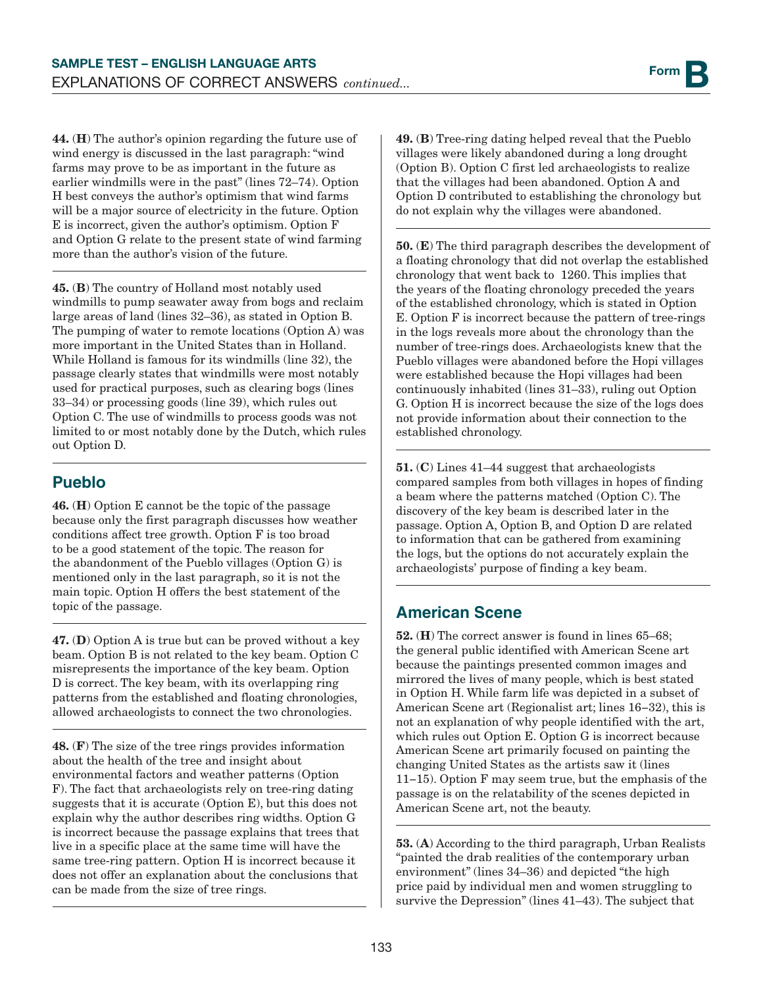44. (H) The author's opinion regarding the future use of wind energy is discussed in the last paragraph: "wind farms may prove to be as important in the future as earlier windmills were in the past" (lines 72–74). Option H best conveys the author's optimism that wind farms will be a major source of electricity in the future. Option E is incorrect, given the author's optimism. Option F and Option G relate to the present state of wind farming more than the author's vision of the future.

45. (B) The country of Holland most notably used windmills to pump seawater away from bogs and reclaim large areas of land (lines 32–36), as stated in Option B. The pumping of water to remote locations (Option A) was more important in the United States than in Holland. While Holland is famous for its windmills (line 32), the passage clearly states that windmills were most notably used for practical purposes, such as clearing bogs (lines 33–34) or processing goods (line 39), which rules out Option C. The use of windmills to process goods was not limited to or most notably done by the Dutch, which rules out Option D.

## **Pueblo**

46. (H) Option E cannot be the topic of the passage because only the first paragraph discusses how weather conditions affect tree growth. Option F is too broad to be a good statement of the topic. The reason for the abandonment of the Pueblo villages (Option G) is mentioned only in the last paragraph, so it is not the main topic. Option H offers the best statement of the topic of the passage.

47. (D) Option A is true but can be proved without a key beam. Option B is not related to the key beam. Option C misrepresents the importance of the key beam. Option D is correct. The key beam, with its overlapping ring patterns from the established and floating chronologies, allowed archaeologists to connect the two chronologies.

48. (F) The size of the tree rings provides information about the health of the tree and insight about environmental factors and weather patterns (Option F). The fact that archaeologists rely on tree-ring dating suggests that it is accurate (Option E), but this does not explain why the author describes ring widths. Option G is incorrect because the passage explains that trees that live in a specific place at the same time will have the same tree-ring pattern. Option H is incorrect because it does not offer an explanation about the conclusions that can be made from the size of tree rings.

49. (B) Tree-ring dating helped reveal that the Pueblo villages were likely abandoned during a long drought (Option B). Option C first led archaeologists to realize that the villages had been abandoned. Option A and Option D contributed to establishing the chronology but do not explain why the villages were abandoned.

50. (E) The third paragraph describes the development of a floating chronology that did not overlap the established chronology that went back to 1260. This implies that the years of the floating chronology preceded the years of the established chronology, which is stated in Option E. Option F is incorrect because the pattern of tree-rings in the logs reveals more about the chronology than the number of tree-rings does. Archaeologists knew that the Pueblo villages were abandoned before the Hopi villages were established because the Hopi villages had been continuously inhabited (lines 31–33), ruling out Option G. Option H is incorrect because the size of the logs does not provide information about their connection to the established chronology.

51. (C) Lines 41–44 suggest that archaeologists compared samples from both villages in hopes of finding a beam where the patterns matched (Option C). The discovery of the key beam is described later in the passage. Option A, Option B, and Option D are related to information that can be gathered from examining the logs, but the options do not accurately explain the archaeologists' purpose of finding a key beam.

## **American Scene**

52. (H) The correct answer is found in lines 65–68; the general public identified with American Scene art because the paintings presented common images and mirrored the lives of many people, which is best stated in Option H. While farm life was depicted in a subset of American Scene art (Regionalist art; lines 16−32), this is not an explanation of why people identified with the art, which rules out Option E. Option G is incorrect because American Scene art primarily focused on painting the changing United States as the artists saw it (lines 11−15). Option F may seem true, but the emphasis of the passage is on the relatability of the scenes depicted in American Scene art, not the beauty.

53. (A) According to the third paragraph, Urban Realists "painted the drab realities of the contemporary urban environment" (lines 34–36) and depicted "the high price paid by individual men and women struggling to survive the Depression" (lines 41–43). The subject that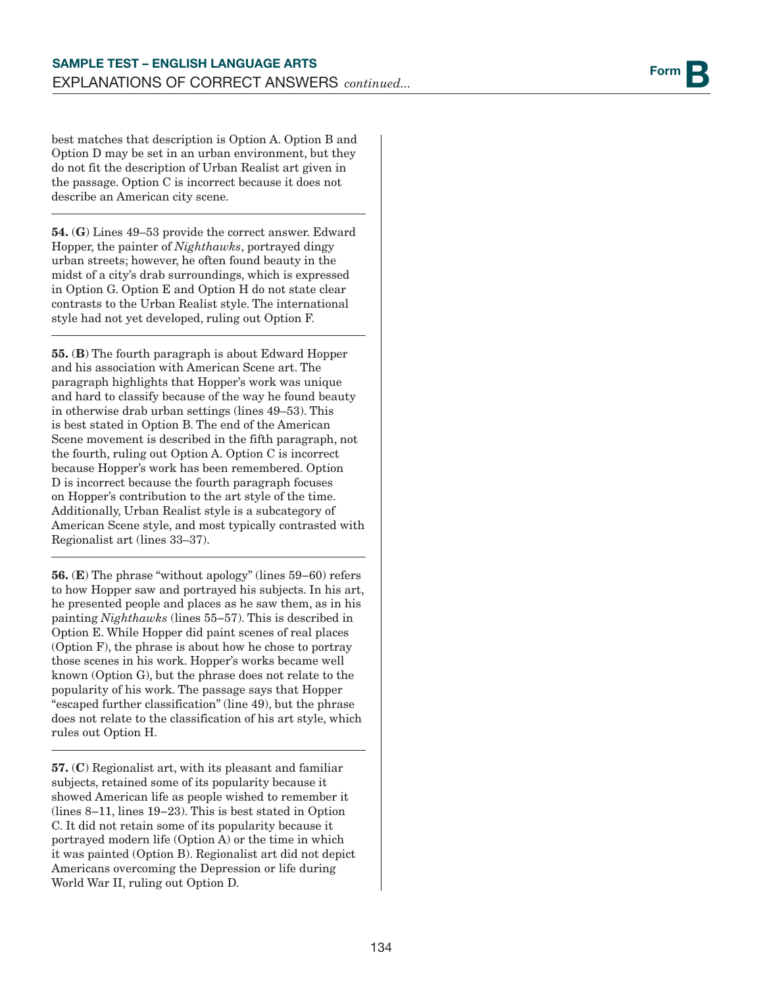best matches that description is Option A. Option B and Option D may be set in an urban environment, but they do not fit the description of Urban Realist art given in the passage. Option C is incorrect because it does not describe an American city scene.

54. (G) Lines 49–53 provide the correct answer. Edward Hopper, the painter of *Nighthawks*, portrayed dingy urban streets; however, he often found beauty in the midst of a city's drab surroundings, which is expressed in Option G. Option E and Option H do not state clear contrasts to the Urban Realist style. The international style had not yet developed, ruling out Option F.

55. (B) The fourth paragraph is about Edward Hopper and his association with American Scene art. The paragraph highlights that Hopper's work was unique and hard to classify because of the way he found beauty in otherwise drab urban settings (lines 49–53). This is best stated in Option B. The end of the American Scene movement is described in the fifth paragraph, not the fourth, ruling out Option A. Option C is incorrect because Hopper's work has been remembered. Option D is incorrect because the fourth paragraph focuses on Hopper's contribution to the art style of the time. Additionally, Urban Realist style is a subcategory of American Scene style, and most typically contrasted with Regionalist art (lines 33–37).

56. (E) The phrase "without apology" (lines 59−60) refers to how Hopper saw and portrayed his subjects. In his art, he presented people and places as he saw them, as in his painting *Nighthawks* (lines 55−57). This is described in Option E. While Hopper did paint scenes of real places (Option F), the phrase is about how he chose to portray those scenes in his work. Hopper's works became well known (Option G), but the phrase does not relate to the popularity of his work. The passage says that Hopper "escaped further classification" (line 49), but the phrase does not relate to the classification of his art style, which rules out Option H.

57. (C) Regionalist art, with its pleasant and familiar subjects, retained some of its popularity because it showed American life as people wished to remember it (lines 8−11, lines 19−23). This is best stated in Option C. It did not retain some of its popularity because it portrayed modern life (Option A) or the time in which it was painted (Option B). Regionalist art did not depict Americans overcoming the Depression or life during World War II, ruling out Option D.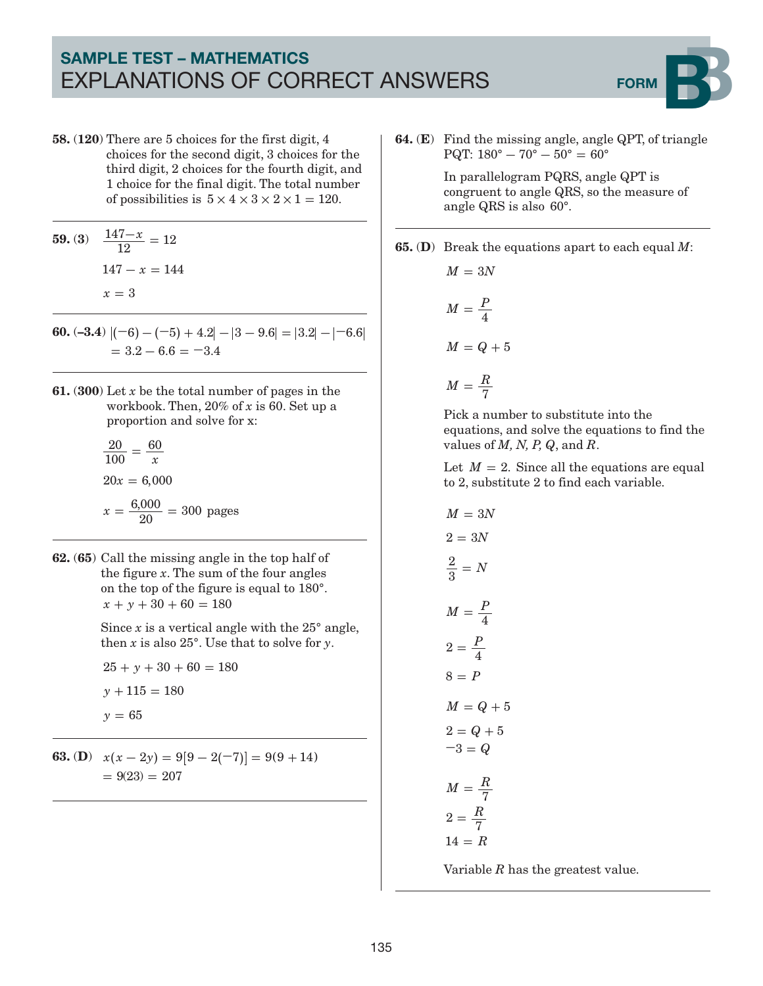## SAMPLE TEST – MATHEMATICS EXPLANATIONS OF CORRECT ANSWERS FORM



58. (120) There are 5 choices for the first digit, 4 choices for the second digit, 3 choices for the third digit, 2 choices for the fourth digit, and 1 choice for the final digit. The total number of possibilities is  $5 \times 4 \times 3 \times 2 \times 1 = 120$ .

**59.** (3) 
$$
\frac{147 - x}{12} = 12
$$

$$
147 - x = 144
$$

$$
x = 3
$$

- **60.**  $(-3.4)$   $|(-6) (-5) + 4.2| |3 9.6| = |3.2| |-6.6|$  $= 3.2 - 6.6 = -3.4$
- 61. (300) Let *x* be the total number of pages in the workbook. Then, 20% of *x* is 60. Set up a proportion and solve for x:

$$
\frac{20}{100} = \frac{60}{x}
$$
  
20x = 6,000  

$$
x = \frac{6,000}{20} = 300 \text{ pages}
$$

62. (65) Call the missing angle in the top half of the figure *x*. The sum of the four angles on the top of the figure is equal to 180°.  $x + y + 30 + 60 = 180$ 

> Since  $x$  is a vertical angle with the  $25^{\circ}$  angle, then  $x$  is also  $25^\circ$ . Use that to solve for  $y$ .

 $25 + y + 30 + 60 = 180$  $y + 115 = 180$ *y* 65 **=**

**63.** (**D**)  $x(x-2y) = 9[9-2(-7)] = 9(9+14)$  $= 9(23) = 207$ 

64. (E) Find the missing angle, angle QPT, of triangle  $PQT: 180^{\circ} - 70^{\circ} - 50^{\circ} = 60^{\circ}$ 

> In parallelogram PQRS, angle QPT is congruent to angle QRS, so the measure of angle QRS is also 60°.

65. (D) Break the equations apart to each equal *M*:

$$
M = 3N
$$

$$
M = \frac{P}{4}
$$

$$
M = Q + 5
$$

$$
M = \frac{R}{7}
$$

Pick a number to substitute into the equations, and solve the equations to find the values of *M, N, P, Q*, and *R*.

Let  $M = 2$ . Since all the equations are equal to 2, substitute 2 to find each variable.

$$
M = 3N
$$
  
\n
$$
2 = 3N
$$
  
\n
$$
\frac{2}{3} = N
$$
  
\n
$$
M = \frac{P}{4}
$$
  
\n
$$
2 = \frac{P}{4}
$$
  
\n
$$
8 = P
$$
  
\n
$$
M = Q + 5
$$
  
\n
$$
2 = Q + 5
$$
  
\n
$$
-3 = Q
$$
  
\n
$$
M = \frac{R}{7}
$$
  
\n
$$
2 = \frac{R}{7}
$$
  
\n
$$
14 = R
$$

Variable *R* has the greatest value.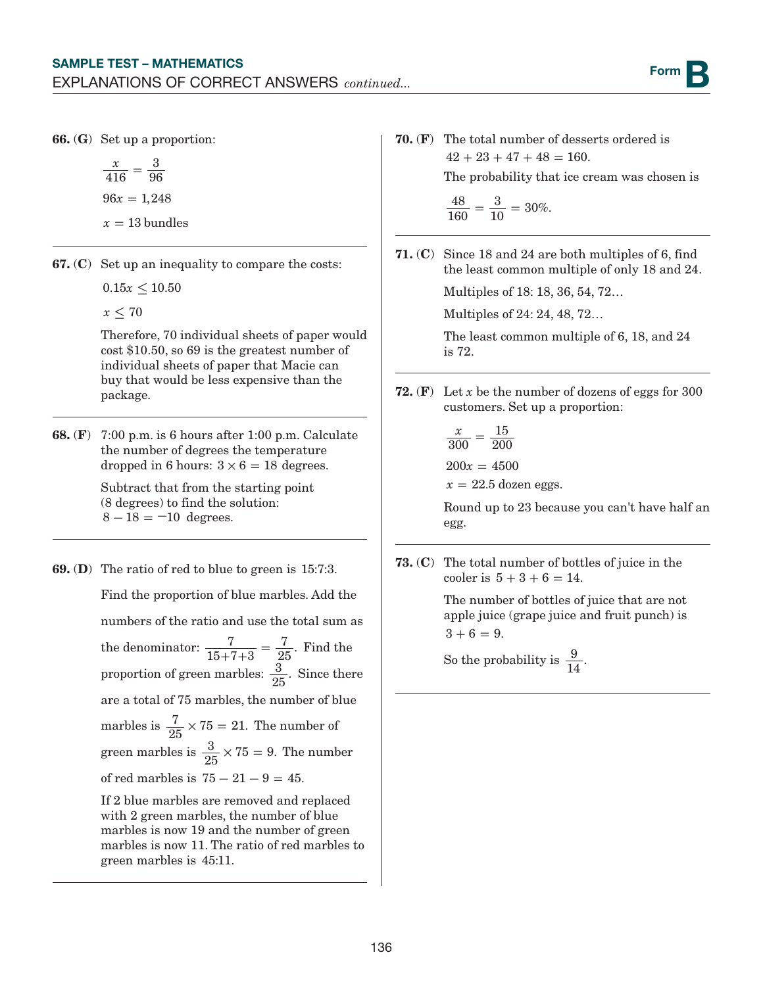66. (G) Set up a proportion:

*x*  $96x = 1,248$  $x = 13$  bundles 416 3  $=\frac{6}{96}$ 

67. (C) Set up an inequality to compare the costs:

 $0.15x \leq 10.50$ 

 $x \leq 70$ 

Therefore, 70 individual sheets of paper would cost \$10.50, so 69 is the greatest number of individual sheets of paper that Macie can buy that would be less expensive than the package.

68. (F) 7:00 p.m. is 6 hours after 1:00 p.m. Calculate the number of degrees the temperature dropped in 6 hours:  $3 \times 6 = 18$  degrees.

> Subtract that from the starting point (8 degrees) to find the solution:  $8 - 18 = -10$  degrees.

69. (D) The ratio of red to blue to green is 15:7:3.

Find the proportion of blue marbles. Add the

numbers of the ratio and use the total sum as

the denominator:  $\frac{7}{15+7+3}$  $\frac{7}{+7+3} = \frac{7}{25}$ . Find the proportion of green marbles:  $\frac{3}{25}$ . Since there are a total of 75 marbles, the number of blue marbles is  $\frac{7}{25} \times 75 = 21$ . The number of green marbles is  $\frac{3}{25} \times 75 = 9$ . The number of red marbles is  $75 - 21 - 9 = 45$ . If 2 blue marbles are removed and replaced

with 2 green marbles, the number of blue marbles is now 19 and the number of green marbles is now 11. The ratio of red marbles to green marbles is 45:11.

70. (F) The total number of desserts ordered is  $42 + 23 + 47 + 48 = 160.$ 

The probability that ice cream was chosen is

$$
\frac{48}{160} = \frac{3}{10} = 30\%.
$$

71. (C) Since 18 and 24 are both multiples of 6, find the least common multiple of only 18 and 24.

Multiples of 18: 18, 36, 54, 72…

Multiples of 24: 24, 48, 72…

The least common multiple of 6, 18, and 24 is 72.

72. (F) Let *x* be the number of dozens of eggs for 300 customers. Set up a proportion:

$$
\frac{x}{300} = \frac{15}{200}
$$

 $200x = 4500$ 

 $x = 22.5$  dozen eggs.

Round up to 23 because you can't have half an egg.

73. (C) The total number of bottles of juice in the cooler is  $5+3+6 = 14$ .

> The number of bottles of juice that are not apple juice (grape juice and fruit punch) is  $3 + 6 = 9$ .

So the probability is  $\frac{9}{14}$ .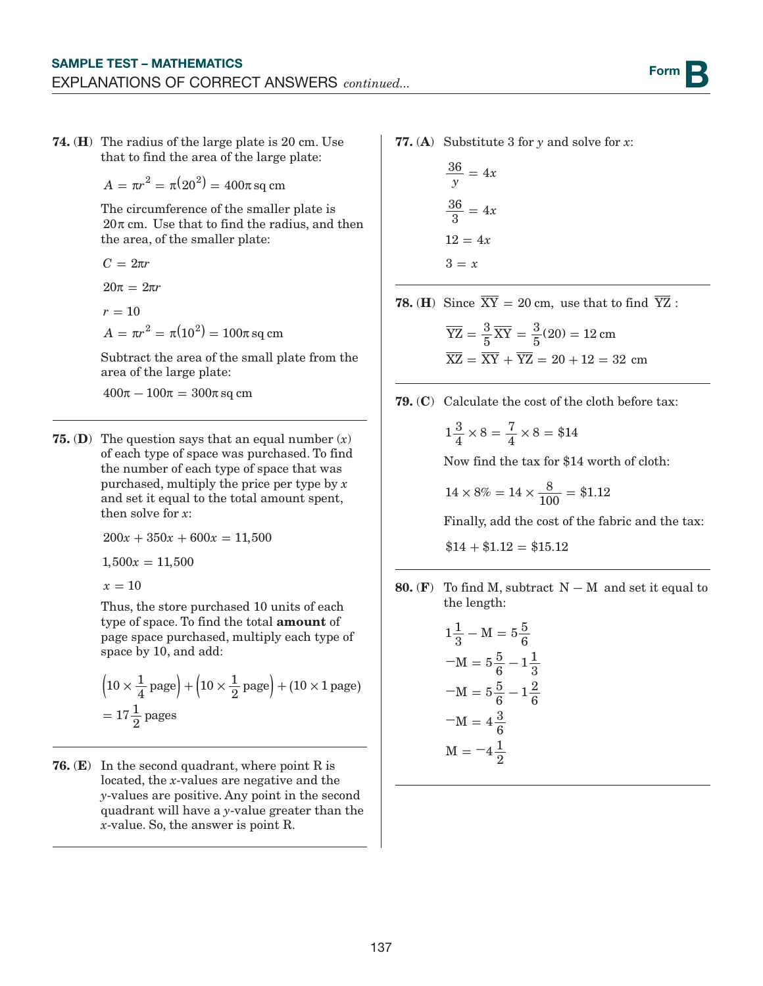74. (H) The radius of the large plate is 20 cm. Use that to find the area of the large plate:

 $A = \pi r^2 = \pi (20^2) = 400 \pi$  sq cm

The circumference of the smaller plate is  $20\pi$  cm. Use that to find the radius, and then the area, of the smaller plate:

$$
C=2\pi r
$$

 $20\pi = 2\pi r$ 

$$
r=10
$$

 $A = \pi r^2 = \pi (10^2) = 100 \pi \, \text{sq cm}^2$ 

Subtract the area of the small plate from the area of the large plate:

 $400\pi - 100\pi = 300\pi$  sq cm

**75. (D)** The question says that an equal number  $(x)$ of each type of space was purchased. To find the number of each type of space that was purchased, multiply the price per type by *x* and set it equal to the total amount spent, then solve for *x*:

 $200x + 350x + 600x = 11,500$ 

 $1,500x = 11,500$ 

 $x = 10$ 

Thus, the store purchased 10 units of each type of space. To find the total amount of page space purchased, multiply each type of space by 10, and add:

$$
\left(10 \times \frac{1}{4} \text{ page}\right) + \left(10 \times \frac{1}{2} \text{ page}\right) + (10 \times 1 \text{ page})
$$
  
=  $17\frac{1}{2}$  pages

**76.** (**E**) In the second quadrant, where point R is located, the *x*-values are negative and the *y*-values are positive. Any point in the second quadrant will have a *y*-value greater than the *x*-value. So, the answer is point R.

77. (A) Substitute 3 for *y* and solve for *x*:

$$
\frac{36}{y} = 4x
$$

$$
\frac{36}{3} = 4x
$$

$$
12 = 4x
$$

$$
3 = x
$$

**78.** (**H**) Since  $\overline{XY} = 20$  cm, use that to find  $\overline{YZ}$ :

$$
\overline{YZ} = \frac{3}{5}\overline{XY} = \frac{3}{5}(20) = 12 \text{ cm}
$$

$$
\overline{XZ} = \overline{XY} + \overline{YZ} = 20 + 12 = 32 \text{ cm}
$$

79. (C) Calculate the cost of the cloth before tax:

$$
1\frac{3}{4} \times 8 = \frac{7}{4} \times 8 = \$14
$$

Now find the tax for \$14 worth of cloth:

$$
14 \times 8\% = 14 \times \frac{8}{100} = $1.12
$$

Finally, add the cost of the fabric and the tax:

 $$14 + $1.12 = $15.12$ 

80. (F) To find M, subtract  $N - M$  and set it equal to the length:

$$
1\frac{1}{3} - M = 5\frac{5}{6}
$$
  
-M = 5\frac{5}{6} - 1\frac{1}{3}  
-M = 5\frac{5}{6} - 1\frac{2}{6}  
-M = 4\frac{3}{6}  
M = -4\frac{1}{2}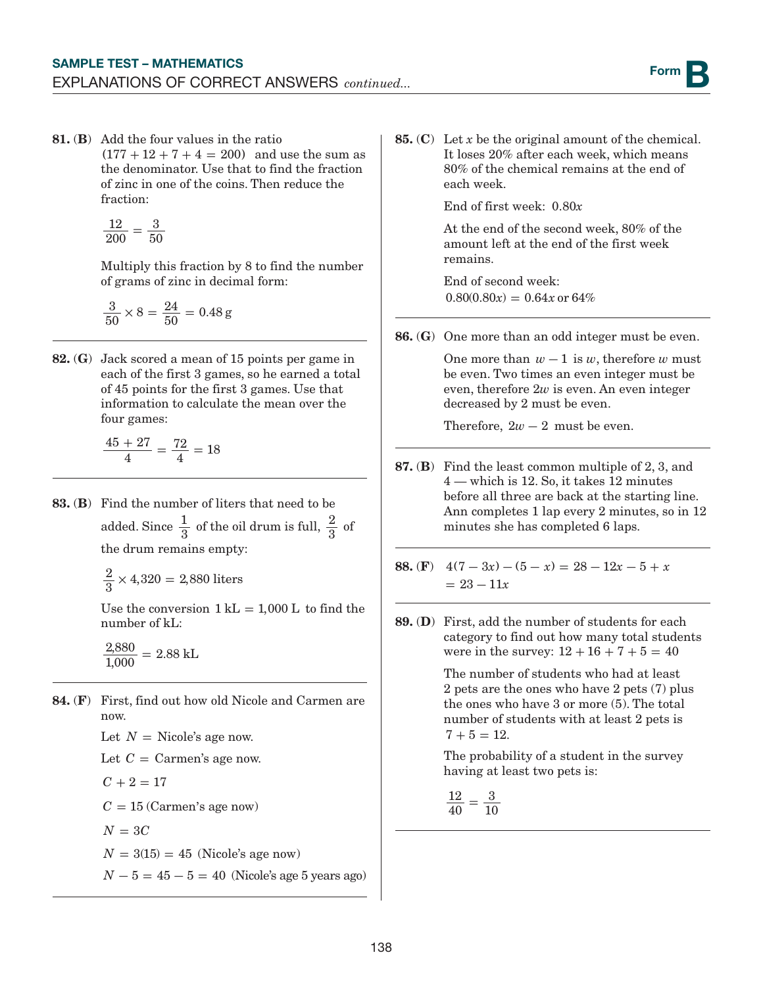81. (B) Add the four values in the ratio  $(177 + 12 + 7 + 4 = 200)$  and use the sum as the denominator. Use that to find the fraction of zinc in one of the coins. Then reduce the fraction:

$$
\frac{12}{200}=\frac{3}{50}
$$

Multiply this fraction by 8 to find the number of grams of zinc in decimal form:

$$
\frac{3}{50} \times 8 = \frac{24}{50} = 0.48 \,\mathrm{g}
$$

82. (G) Jack scored a mean of 15 points per game in each of the first 3 games, so he earned a total of 45 points for the first 3 games. Use that information to calculate the mean over the four games:

$$
\frac{45+27}{4} = \frac{72}{4} = 18
$$

- 83. (B) Find the number of liters that need to be added. Since  $\frac{1}{3}$  of the oil drum is full,  $\frac{2}{3}$  of the drum remains empty:
	- $\frac{2}{3} \times 4,320 = 2,880$  liters

Use the conversion  $1 \text{ kL} = 1,000 \text{ L}$  to find the number of kL:

 $\frac{2,880}{1,000} = 2.88$  kL

84. (F) First, find out how old Nicole and Carmen are now. Let  $N =$  Nicole's age now. Let  $C = \text{Carmen's age now.}$  $C + 2 = 17$ 

 $C = 15$  (Carmen's age now)

 $N = 3C$ 

 $N = 3(15) = 45$  (Nicole's age now)

*N* − 5 = 45 − 5 = 40 (Nicole's age 5 years ago)

85. (C) Let *x* be the original amount of the chemical. It loses 20% after each week, which means 80% of the chemical remains at the end of each week.

End of first week: 0.80*x*

At the end of the second week, 80% of the amount left at the end of the first week remains.

End of second week:  $0.80(0.80x) = 0.64x$  or 64%

86. (G) One more than an odd integer must be even.

One more than  $w - 1$  is  $w$ , therefore  $w$  must be even. Two times an even integer must be even, therefore 2*w* is even. An even integer decreased by 2 must be even.

Therefore,  $2w - 2$  must be even.

- 87. (B) Find the least common multiple of 2, 3, and 4 — which is 12. So, it takes 12 minutes before all three are back at the starting line. Ann completes 1 lap every 2 minutes, so in 12 minutes she has completed 6 laps.
- 88. (F)  $4(7-3x) (5-x) = 28 12x 5 + x$  $= 23 - 11x$
- 89. (D) First, add the number of students for each category to find out how many total students were in the survey:  $12 + 16 + 7 + 5 = 40$

The number of students who had at least 2 pets are the ones who have 2 pets (7) plus the ones who have 3 or more (5). The total number of students with at least 2 pets is  $7 + 5 = 12.$ 

The probability of a student in the survey having at least two pets is:

12 40  $=\frac{3}{10}$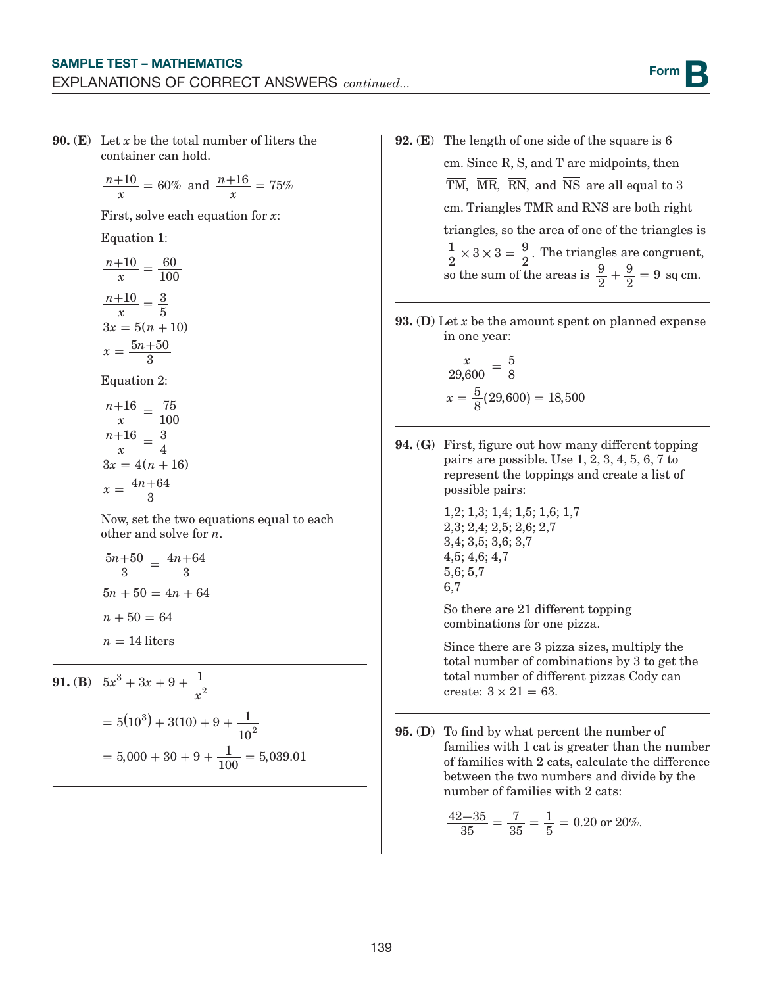90. (E) Let *x* be the total number of liters the container can hold.

$$
\frac{n+10}{x} = 60\% \text{ and } \frac{n+16}{x} = 75\%
$$

First, solve each equation for *x*:

Equation 1:

*n x n x*  $3x = 5(n + 10)$  $x = \frac{5n+50}{8}$  $10 - 60$  $\frac{+10}{x} = \frac{60}{100}$  $10^{\circ}$   $\frac{3}{\circ}$  $\frac{+10}{x} = \frac{3}{5}$  $=\frac{5n+1}{3}$ 

Equation 2:

*n x n x*  $3x = 4(n + 16)$  $x = \frac{4n + 64}{8}$  $16 - 75$  $\frac{+16}{x} = \frac{75}{100}$  $16$   $\_$   $3$  $\frac{+16}{x} = \frac{3}{4}$  $=\frac{4n+1}{3}$ 

Now, set the two equations equal to each other and solve for *n*.

$$
\frac{5n+50}{3} = \frac{4n+64}{3}
$$

$$
5n + 50 = 4n + 64
$$

$$
n + 50 = 64
$$

$$
n = 14 \text{ liters}
$$

**91. (B)** 
$$
5x^3 + 3x + 9 + \frac{1}{x^2}
$$
  
=  $5(10^3) + 3(10) + 9 + \frac{1}{10^2}$   
=  $5,000 + 30 + 9 + \frac{1}{100} = 5,039.01$ 

- 92. (E) The length of one side of the square is 6 cm. Since R, S, and T are midpoints, then  $\overline{\text{TM}}$ ,  $\overline{\text{MR}}$ ,  $\overline{\text{RN}}$ , and  $\overline{\text{NS}}$  are all equal to 3 cm. Triangles TMR and RNS are both right triangles, so the area of one of the triangles is  $\frac{1}{2} \times 3 \times 3 = \frac{9}{2}$ . The triangles are congruent, so the sum of the areas is  $\frac{9}{2}$  $+\frac{9}{2}$  = 9 sq cm.
- 93. (D) Let *x* be the amount spent on planned expense in one year:

$$
\frac{x}{29,600} = \frac{5}{8}
$$

$$
x = \frac{5}{8}(29,600) = 18,500
$$

94. (G) First, figure out how many different topping pairs are possible. Use 1, 2, 3, 4, 5, 6, 7 to represent the toppings and create a list of possible pairs:

```
1,2; 1,3; 1,4; 1,5; 1,6; 1,7
2,3; 2,4; 2,5; 2,6; 2,7
3,4; 3,5; 3,6; 3,7
4,5; 4,6; 4,7
5,6; 5,7
6,7
```
So there are 21 different topping combinations for one pizza.

Since there are 3 pizza sizes, multiply the total number of combinations by 3 to get the total number of different pizzas Cody can create:  $3 \times 21 = 63$ .

95. (D) To find by what percent the number of families with 1 cat is greater than the number of families with 2 cats, calculate the difference between the two numbers and divide by the number of families with 2 cats:

$$
\frac{42-35}{35} = \frac{7}{35} = \frac{1}{5} = 0.20 \text{ or } 20\%.
$$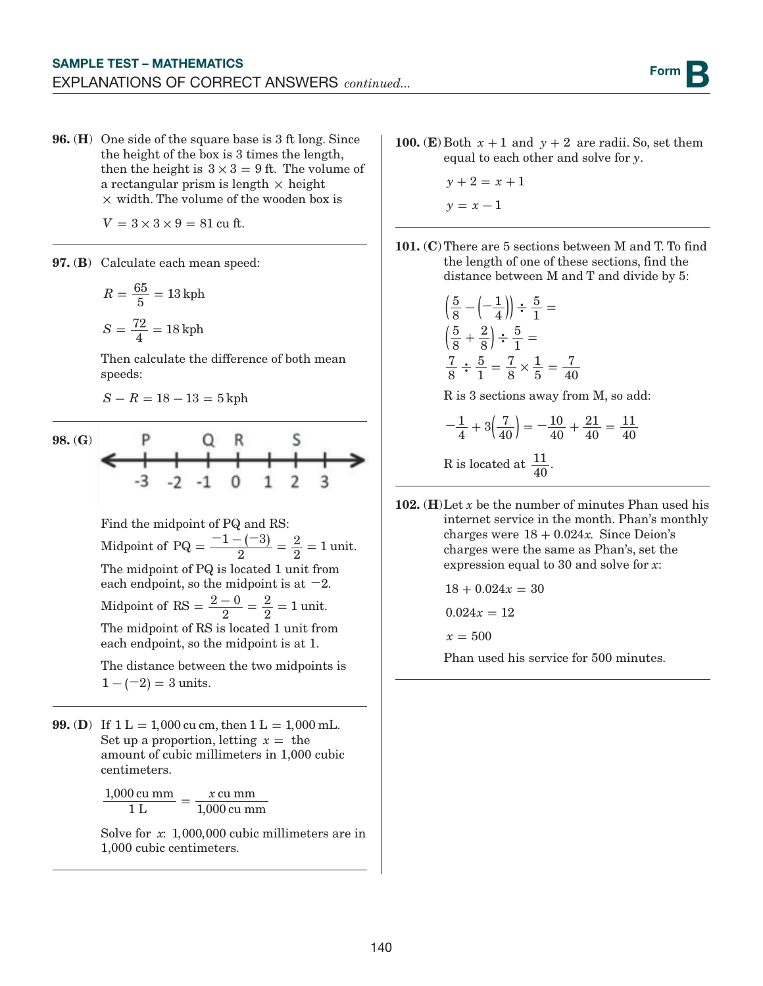96. (H) One side of the square base is 3 ft long. Since the height of the box is 3 times the length, then the height is  $3 \times 3 = 9$  ft. The volume of a rectangular prism is length **×** height **×** width. The volume of the wooden box is

 $V = 3 \times 3 \times 9 = 81$  cu ft.

97. (B) Calculate each mean speed:

$$
R = \frac{65}{5} = 13 \text{ kph}
$$

$$
S = \frac{72}{4} = 18 \text{ kph}
$$

Then calculate the difference of both mean speeds:

 $S - R = 18 - 13 = 5$  kph

98. (G)  

$$
\leftarrow
$$
  

$$
P
$$
  

$$
Q
$$
  

$$
R
$$
  

$$
S
$$
  

$$
-3
$$
  

$$
-2
$$
  

$$
-1
$$
  

$$
Q
$$
  

$$
R
$$
  

$$
S
$$
  

$$
-3
$$
  

$$
-2
$$
  

$$
-1
$$
  

$$
Q
$$
  

$$
R
$$
  

$$
S
$$
  

$$
-3
$$
  

$$
-2
$$
  

$$
-1
$$
  

$$
Q
$$
  

$$
R
$$
  

$$
S
$$
  

$$
-3
$$
  

$$
-2
$$
  

$$
-1
$$
  

$$
Q
$$
  

$$
Q
$$
  

$$
Q
$$
  

$$
Q
$$
  

$$
Q
$$
  

$$
Q
$$
  

$$
Q
$$
  

$$
Q
$$
  

$$
Q
$$
  

$$
Q
$$
  

$$
Q
$$
  

$$
Q
$$
  

$$
Q
$$
  

$$
Q
$$
  

$$
Q
$$
  

$$
Q
$$
  

$$
Q
$$
  

$$
Q
$$
  

$$
Q
$$
  

$$
Q
$$
  

$$
Q
$$
  

$$
Q
$$
  

$$
Q
$$
  

$$
Q
$$
  

$$
Q
$$
  

$$
Q
$$
  

$$
Q
$$
  

$$
Q
$$
  

$$
Q
$$
  

$$
Q
$$
  

$$
Q
$$
  

$$
Q
$$
  

$$
Q
$$
  

$$
Q
$$
  

$$
Q
$$
  

$$
Q
$$
  

$$
Q
$$
  

$$
Q
$$
  

$$
Q
$$
  

$$
Q
$$
  

$$
Q
$$
  

$$
Q
$$

Find the midpoint of PQ and RS: Midpoint of PQ =  $\frac{-1 - (-3)}{2} = \frac{2}{2}$  $\frac{2}{2}$  = 1 unit. The midpoint of PQ is located 1 unit from each endpoint, so the midpoint is at **−**2.

Midpoint of RS =  $\frac{2-0}{2} = \frac{2}{2}$  $\frac{2}{2}$  = 1 unit.

The midpoint of RS is located 1 unit from each endpoint, so the midpoint is at 1.

The distance between the two midpoints is  $1 - (-2) = 3$  units.

**99.** (D) If  $1 L = 1,000$  cu cm, then  $1 L = 1,000$  mL. Set up a proportion, letting  $x =$  the amount of cubic millimeters in 1,000 cubic centimeters.

> 1,000 cu mm *x* 1 L  $=\frac{x \text{ cu mm}}{1,000 \text{ cu mm}}$

Solve for *x*: 1,000,000 cubic millimeters are in 1,000 cubic centimeters.

- 100. (E) Both  $x + 1$  and  $y + 2$  are radii. So, set them equal to each other and solve for *y*.
	- $y + 2 = x + 1$  $y = x - 1$
- 101. (C) There are 5 sections between M and T. To find the length of one of these sections, find the distance between M and T and divide by 5:

$$
\left(\frac{5}{8} - \left(-\frac{1}{4}\right)\right) \div \frac{5}{1} =
$$
  

$$
\left(\frac{5}{8} + \frac{2}{8}\right) \div \frac{5}{1} =
$$
  

$$
\frac{7}{8} \div \frac{5}{1} = \frac{7}{8} \times \frac{1}{5} = \frac{7}{40}
$$

R is 3 sections away from M, so add:

$$
-\frac{1}{4} + 3\left(\frac{7}{40}\right) = -\frac{10}{40} + \frac{21}{40} = \frac{11}{40}
$$
  
B is located at 11

R is located at  $\frac{11}{40}$ .

102. (H)Let *x* be the number of minutes Phan used his internet service in the month. Phan's monthly charges were  $18 + 0.024x$ . Since Deion's charges were the same as Phan's, set the expression equal to 30 and solve for *x*:

 $18 + 0.024x = 30$ 

 $0.024x = 12$ 

 $x = 500$ 

Phan used his service for 500 minutes.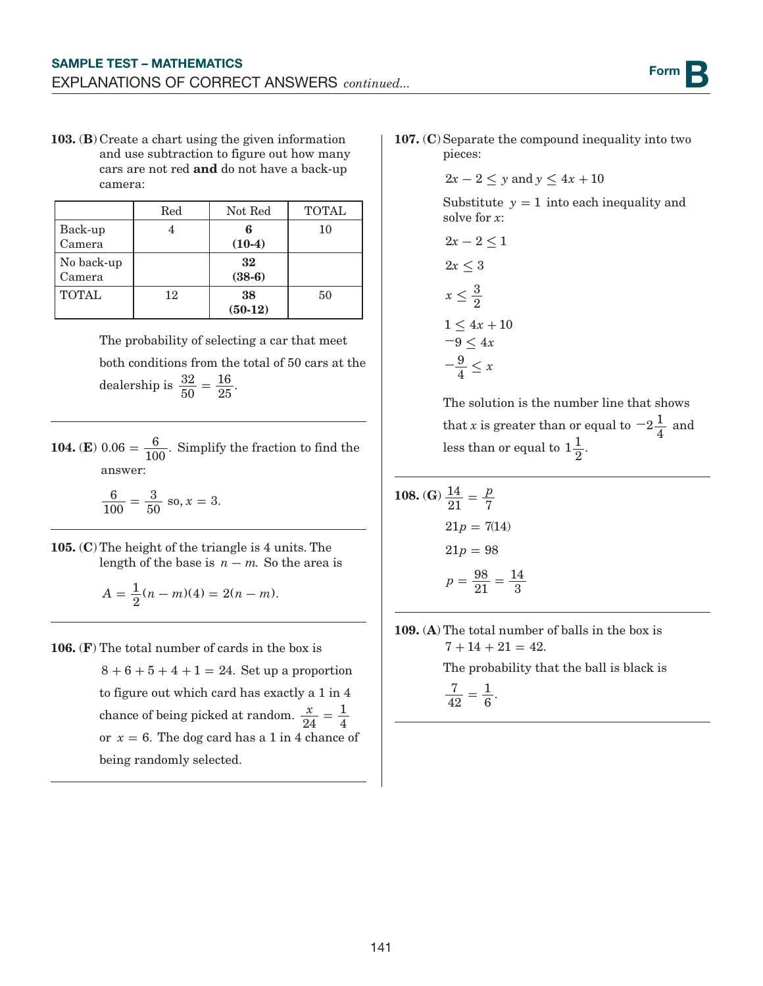103. (B) Create a chart using the given information and use subtraction to figure out how many cars are not red and do not have a back-up camera:

|              | Red | Not Red   | <b>TOTAL</b> |  |
|--------------|-----|-----------|--------------|--|
| Back-up      |     | հ         | 10           |  |
| Camera       |     | $(10-4)$  |              |  |
| No back-up   |     | 32        |              |  |
| Camera       |     | $(38-6)$  |              |  |
| <b>TOTAL</b> | 12  | 38        | 50           |  |
|              |     | $(50-12)$ |              |  |

The probability of selecting a car that meet both conditions from the total of 50 cars at the dealership is  $\frac{32}{50}$  $=\frac{16}{25}.$ 

**104.** (**E**)  $0.06 = \frac{6}{100}$ . Simplify the fraction to find the answer:

> $\frac{6}{60} = \frac{3}{50}$  so, x = 100  $\frac{3}{50}$  so,  $x = 3$ .

105. (C) The height of the triangle is 4 units. The length of the base is  $n - m$ . So the area is

$$
A = \frac{1}{2}(n-m)(4) = 2(n-m).
$$

106. (F) The total number of cards in the box is  $8+6+5+4+1 = 24$ . Set up a proportion to figure out which card has exactly a 1 in 4 chance of being picked at random.  $\frac{x}{24}$  $=\frac{1}{4}$ or  $x = 6$ . The dog card has a 1 in 4 chance of being randomly selected.

107. (C) Separate the compound inequality into two pieces:

$$
2x - 2 \le y \text{ and } y \le 4x + 10
$$

Substitute  $y = 1$  into each inequality and solve for *x*:

$$
2x - 2 \le 1
$$
  
\n
$$
2x \le 3
$$
  
\n
$$
x \le \frac{3}{2}
$$
  
\n
$$
1 \le 4x + 10
$$
  
\n
$$
-9 \le 4x
$$
  
\n
$$
-\frac{9}{4} \le x
$$

The solution is the number line that shows that *x* is greater than or equal to  $-2\frac{1}{4}$  and less than or equal to  $1\frac{1}{2}$ .

**108.** (G) 
$$
\frac{14}{21} = \frac{p}{7}
$$
  
21p = 7(14)  
21p = 98  

$$
p = \frac{98}{21} = \frac{14}{3}
$$

109. (A) The total number of balls in the box is  $7 + 14 + 21 = 42.$ 

The probability that the ball is black is

7 42  $=\frac{1}{6}.$